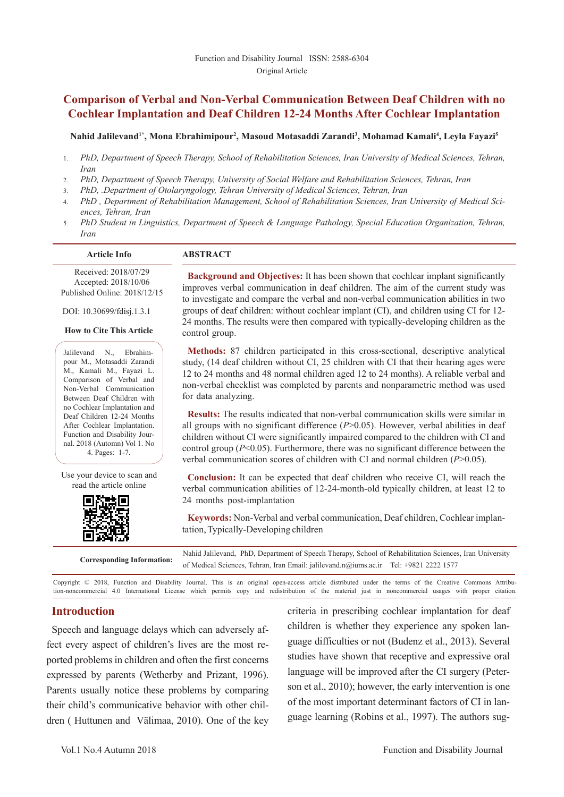# **Comparison of Verbal and Non-Verbal Communication Between Deaf Children with no Cochlear Implantation and Deaf Children 12-24 Months After Cochlear Implantation**

#### Nahid Jalilevand<sup>1\*</sup>, Mona Ebrahimipour<sup>2</sup>, Masoud Motasaddi Zarandi<sup>3</sup>, Mohamad Kamali<sup>4</sup>, Leyla Fayazi<sup>5</sup>

- 1. *PhD, Department of Speech Therapy, School of Rehabilitation Sciences, Iran University of Medical Sciences, Tehran, Iran*
- 2. *PhD, Department of Speech Therapy, University of Social Welfare and Rehabilitation Sciences, Tehran, Iran*
- 3. *PhD, .Department of Otolaryngology, Tehran University of Medical Sciences, Tehran, Iran*
- 4. *PhD , Department of Rehabilitation Management, School of Rehabilitation Sciences, Iran University of Medical Sciences, Tehran, Iran*
- 5. *PhD Student in Linguistics, Department of Speech & Language Pathology, Special Education Organization, Tehran, Iran*

#### **Article Info ABSTRACT**

 Received: 2018/07/29 Accepted: 2018/10/06 Published Online: 2018/12/15

DOI: 10.30699/fdisj.1.3.1

#### **How to Cite This Article**

Jalilevand N., Ebrahimpour M., Motasaddi Zarandi M., Kamali M., Fayazi L. Comparison of Verbal and Non-Verbal Communication Between Deaf Children with no Cochlear Implantation and Deaf Children 12-24 Months After Cochlear Implantation. Function and Disability Journal. 2018 (Automn) Vol 1. No 4. Pages: 1-7.

Use your device to scan and read the article online



**Background and Objectives:** It has been shown that cochlear implant significantly improves verbal communication in deaf children. The aim of the current study was to investigate and compare the verbal and non-verbal communication abilities in two groups of deaf children: without cochlear implant (CI), and children using CI for 12- 24 months. The results were then compared with typically-developing children as the control group.

**Methods:** 87 children participated in this cross-sectional, descriptive analytical study, (14 deaf children without CI, 25 children with CI that their hearing ages were 12 to 24 months and 48 normal children aged 12 to 24 months). A reliable verbal and non-verbal checklist was completed by parents and nonparametric method was used for data analyzing.

**Results:** The results indicated that non-verbal communication skills were similar in all groups with no significant difference  $(P>0.05)$ . However, verbal abilities in deaf children without CI were significantly impaired compared to the children with CI and control group (*P*<0.05). Furthermore, there was no significant difference between the verbal communication scores of children with CI and normal children (*P*>0.05).

**Conclusion:** It can be expected that deaf children who receive CI, will reach the verbal communication abilities of 12-24-month-old typically children, at least 12 to 24 months post-implantation

**Keywords:** Non-Verbal and verbal communication, Deaf children, Cochlear implantation, Typically-Developing children

Nahid Jalilevand, PhD, Department of Speech Therapy, School of Rehabilitation Sciences, Iran University<br> **Corresponding Information:**<br>
Corresponding Information:<br>
Corresponding Information:<br>
Corresponding Information:<br>
Cor of Medical Sciences, Tehran, Iran Email: jalilevand.n@iums.ac.ir Tel: +9821 2222 1577

Copyright © 2018, Function and Disability Journal. This is an original open-access article distributed under the terms of the Creative Commons Attribution-noncommercial 4.0 International License which permits copy and redistribution of the material just in noncommercial usages with proper citation.

### **Introduction**

Speech and language delays which can adversely affect every aspect of children's lives are the most reported problems in children and often the first concerns expressed by parents (Wetherby and Prizant, 1996). Parents usually notice these problems by comparing their child's communicative behavior with other children ( Huttunen and Välimaa, 2010). One of the key criteria in prescribing cochlear implantation for deaf children is whether they experience any spoken language difficulties or not (Budenz et al., 2013). Several studies have shown that receptive and expressive oral language will be improved after the CI surgery (Peterson et al., 2010); however, the early intervention is one of the most important determinant factors of CI in language learning (Robins et al., 1997). The authors sug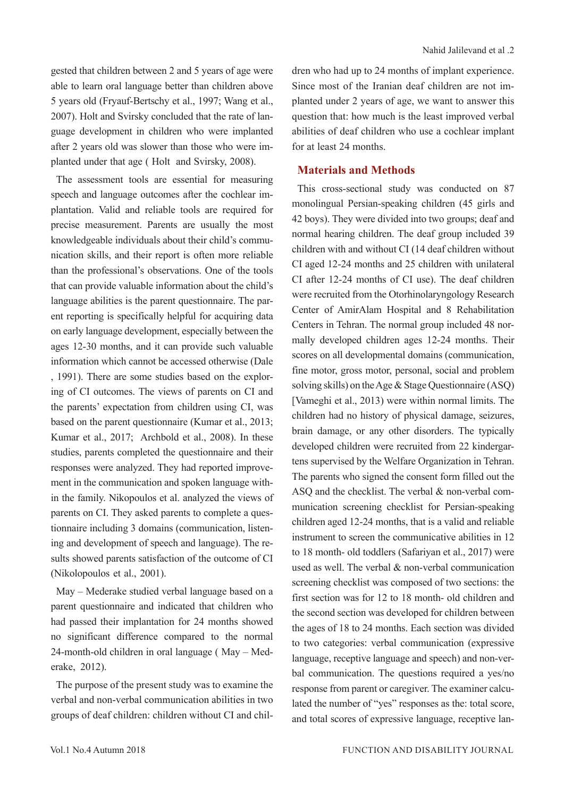gested that children between 2 and 5 years of age were able to learn oral language better than children above 5 years old (Fryauf-Bertschy et al., 1997; Wang et al., 2007). Holt and Svirsky concluded that the rate of language development in children who were implanted after 2 years old was slower than those who were implanted under that age ( Holt and Svirsky, 2008).

The assessment tools are essential for measuring speech and language outcomes after the cochlear implantation. Valid and reliable tools are required for precise measurement. Parents are usually the most knowledgeable individuals about their child's communication skills, and their report is often more reliable than the professional's observations. One of the tools that can provide valuable information about the child's language abilities is the parent questionnaire. The parent reporting is specifically helpful for acquiring data on early language development, especially between the ages 12-30 months, and it can provide such valuable information which cannot be accessed otherwise (Dale , 1991). There are some studies based on the exploring of CI outcomes. The views of parents on CI and the parents' expectation from children using CI, was based on the parent questionnaire (Kumar et al., 2013; Kumar et al., 2017; Archbold et al., 2008). In these studies, parents completed the questionnaire and their responses were analyzed. They had reported improvement in the communication and spoken language within the family. Nikopoulos et al. analyzed the views of parents on CI. They asked parents to complete a questionnaire including 3 domains (communication, listening and development of speech and language). The results showed parents satisfaction of the outcome of CI (Nikolopoulos et al., 2001).

May – Mederake studied verbal language based on a parent questionnaire and indicated that children who had passed their implantation for 24 months showed no significant difference compared to the normal 24-month-old children in oral language ( May – Mederake, 2012).

The purpose of the present study was to examine the verbal and non-verbal communication abilities in two groups of deaf children: children without CI and children who had up to 24 months of implant experience. Since most of the Iranian deaf children are not implanted under 2 years of age, we want to answer this question that: how much is the least improved verbal abilities of deaf children who use a cochlear implant for at least 24 months.

### **Materials and Methods**

This cross-sectional study was conducted on 87 monolingual Persian-speaking children (45 girls and 42 boys). They were divided into two groups; deaf and normal hearing children. The deaf group included 39 children with and without CI (14 deaf children without CI aged 12-24 months and 25 children with unilateral CI after 12-24 months of CI use). The deaf children were recruited from the Otorhinolaryngology Research Center of AmirAlam Hospital and 8 Rehabilitation Centers in Tehran. The normal group included 48 normally developed children ages 12-24 months. Their scores on all developmental domains (communication, fine motor, gross motor, personal, social and problem solving skills) on the Age & Stage Questionnaire (ASQ) [Vameghi et al., 2013) were within normal limits. The children had no history of physical damage, seizures, brain damage, or any other disorders. The typically developed children were recruited from 22 kindergartens supervised by the Welfare Organization in Tehran. The parents who signed the consent form filled out the ASQ and the checklist. The verbal & non-verbal communication screening checklist for Persian-speaking children aged 12-24 months, that is a valid and reliable instrument to screen the communicative abilities in 12 to 18 month- old toddlers (Safariyan et al., 2017) were used as well. The verbal & non-verbal communication screening checklist was composed of two sections: the first section was for 12 to 18 month- old children and the second section was developed for children between the ages of 18 to 24 months. Each section was divided to two categories: verbal communication (expressive language, receptive language and speech) and non-verbal communication. The questions required a yes/no response from parent or caregiver. The examiner calculated the number of "yes" responses as the: total score, and total scores of expressive language, receptive lan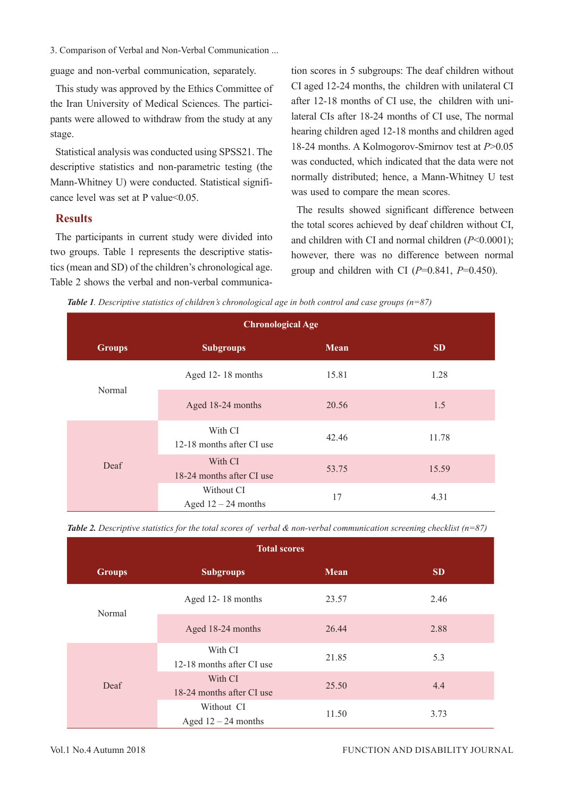3. Comparison of Verbal and Non-Verbal Communication ...

guage and non-verbal communication, separately.

This study was approved by the Ethics Committee of the Iran University of Medical Sciences. The participants were allowed to withdraw from the study at any stage.

Statistical analysis was conducted using SPSS21. The descriptive statistics and non-parametric testing (the Mann-Whitney U) were conducted. Statistical significance level was set at P value < 0.05.

## **Results**

The participants in current study were divided into two groups. Table 1 represents the descriptive statistics (mean and SD) of the children's chronological age. Table 2 shows the verbal and non-verbal communica-

tion scores in 5 subgroups: The deaf children without CI aged 12-24 months, the children with unilateral CI after 12-18 months of CI use, the children with unilateral CIs after 18-24 months of CI use, The normal hearing children aged 12-18 months and children aged 18-24 months. A Kolmogorov-Smirnov test at *P*>0.05 was conducted, which indicated that the data were not normally distributed; hence, a Mann-Whitney U test was used to compare the mean scores.

The results showed significant difference between the total scores achieved by deaf children without CI, and children with CI and normal children (*P*<0.0001); however, there was no difference between normal group and children with CI (*P*=0.841, *P*=0.450).

| <b>Table 1</b> . Descriptive statistics of children's chronological age in both control and case groups ( $n=87$ ) |  |  |  |
|--------------------------------------------------------------------------------------------------------------------|--|--|--|
|--------------------------------------------------------------------------------------------------------------------|--|--|--|

|               | <b>Chronological Age</b>             |       |           |
|---------------|--------------------------------------|-------|-----------|
| <b>Groups</b> | <b>Subgroups</b>                     | Mean  | <b>SD</b> |
| Normal        | Aged 12-18 months                    | 15.81 | 1.28      |
|               | Aged 18-24 months                    | 20.56 | 1.5       |
|               | With CI<br>12-18 months after CI use | 42.46 | 11.78     |
| Deaf          | With CI<br>18-24 months after CI use | 53.75 | 15.59     |
|               | Without CI<br>Aged $12 - 24$ months  | 17    | 4.31      |

|  |  |  |  | Table 2. Descriptive statistics for the total scores of verbal & non-verbal communication screening checklist ( $n=87$ ) |
|--|--|--|--|--------------------------------------------------------------------------------------------------------------------------|
|--|--|--|--|--------------------------------------------------------------------------------------------------------------------------|

|               | <b>Total scores</b>                  |             |           |
|---------------|--------------------------------------|-------------|-----------|
| <b>Groups</b> | <b>Subgroups</b>                     | <b>Mean</b> | <b>SD</b> |
| Normal        | Aged 12-18 months                    | 23.57       | 2.46      |
|               | Aged 18-24 months                    | 26.44       | 2.88      |
|               | With CI<br>12-18 months after CI use | 21.85       | 5.3       |
| Deaf          | With CI<br>18-24 months after CI use | 25.50       | 4.4       |
|               | Without CI<br>Aged $12 - 24$ months  | 11.50       | 3.73      |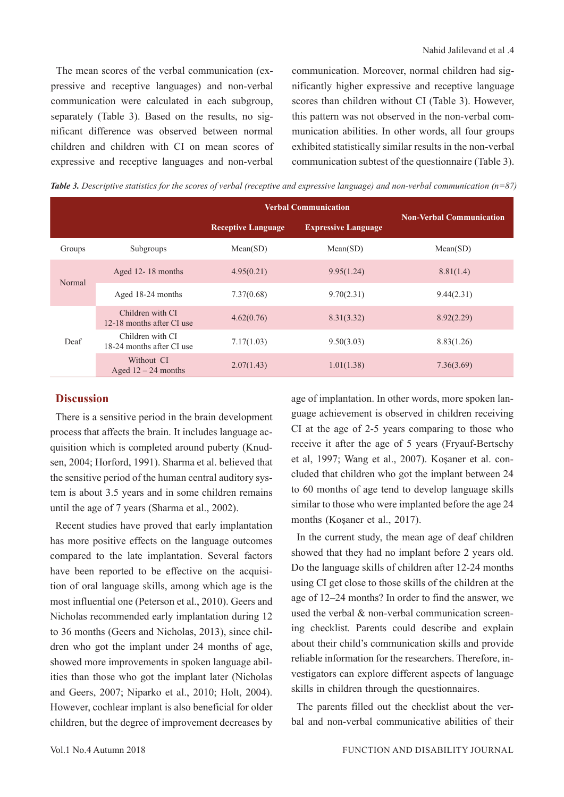The mean scores of the verbal communication (expressive and receptive languages) and non-verbal communication were calculated in each subgroup, separately (Table 3). Based on the results, no significant difference was observed between normal children and children with CI on mean scores of expressive and receptive languages and non-verbal communication. Moreover, normal children had significantly higher expressive and receptive language scores than children without CI (Table 3). However, this pattern was not observed in the non-verbal communication abilities. In other words, all four groups exhibited statistically similar results in the non-verbal communication subtest of the questionnaire (Table 3).

*Table 3. Descriptive statistics for the scores of verbal (receptive and expressive language) and non-verbal communication (n=87)*

|        |                                               | <b>Verbal Communication</b> | <b>Non-Verbal Communication</b> |            |
|--------|-----------------------------------------------|-----------------------------|---------------------------------|------------|
|        |                                               | <b>Receptive Language</b>   | <b>Expressive Language</b>      |            |
| Groups | Subgroups                                     | Mean(SD)                    | Mean(SD)                        | Mean(SD)   |
| Normal | Aged 12-18 months                             | 4.95(0.21)                  | 9.95(1.24)                      | 8.81(1.4)  |
|        | Aged 18-24 months                             | 7.37(0.68)                  | 9.70(2.31)                      | 9.44(2.31) |
|        | Children with CI<br>12-18 months after CI use | 4.62(0.76)                  | 8.31(3.32)                      | 8.92(2.29) |
| Deaf   | Children with CI<br>18-24 months after CI use | 7.17(1.03)                  | 9.50(3.03)                      | 8.83(1.26) |
|        | Without CI<br>Aged $12 - 24$ months           | 2.07(1.43)                  | 1.01(1.38)                      | 7.36(3.69) |

# **Discussion**

There is a sensitive period in the brain development process that affects the brain. It includes language acquisition which is completed around puberty (Knudsen, 2004; Horford, 1991). Sharma et al. believed that the sensitive period of the human central auditory system is about 3.5 years and in some children remains until the age of 7 years (Sharma et al., 2002).

Recent studies have proved that early implantation has more positive effects on the language outcomes compared to the late implantation. Several factors have been reported to be effective on the acquisition of oral language skills, among which age is the most influential one (Peterson et al., 2010). Geers and Nicholas recommended early implantation during 12 to 36 months (Geers and Nicholas, 2013), since children who got the implant under 24 months of age, showed more improvements in spoken language abilities than those who got the implant later (Nicholas and Geers, 2007; Niparko et al., 2010; Holt, 2004). However, cochlear implant is also beneficial for older children, but the degree of improvement decreases by

age of implantation. In other words, more spoken language achievement is observed in children receiving CI at the age of 2-5 years comparing to those who receive it after the age of 5 years (Fryauf-Bertschy et al, 1997; Wang et al., 2007). Koşaner et al. concluded that children who got the implant between 24 to 60 months of age tend to develop language skills similar to those who were implanted before the age 24 months (Koşaner et al., 2017).

In the current study, the mean age of deaf children showed that they had no implant before 2 years old. Do the language skills of children after 12-24 months using CI get close to those skills of the children at the age of 12–24 months? In order to find the answer, we used the verbal & non-verbal communication screening checklist. Parents could describe and explain about their child's communication skills and provide reliable information for the researchers. Therefore, investigators can explore different aspects of language skills in children through the questionnaires.

The parents filled out the checklist about the verbal and non-verbal communicative abilities of their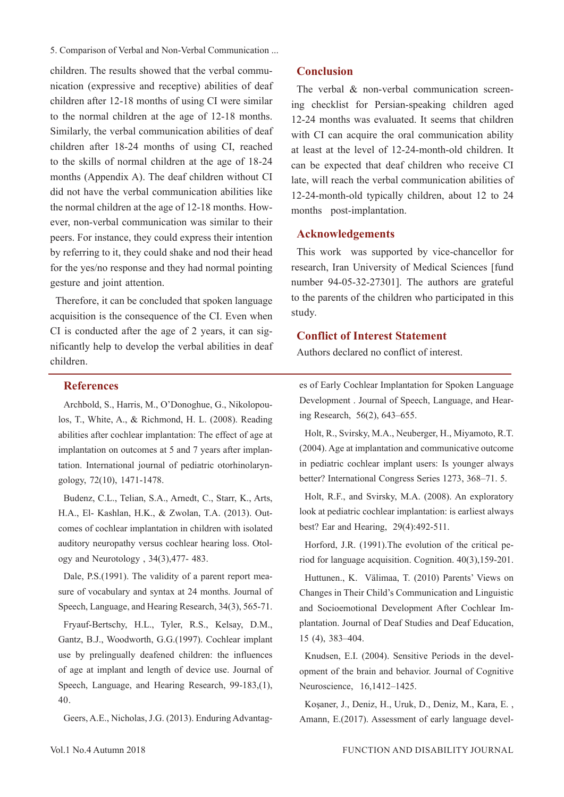5. Comparison of Verbal and Non-Verbal Communication ...

children. The results showed that the verbal communication (expressive and receptive) abilities of deaf children after 12-18 months of using CI were similar to the normal children at the age of 12-18 months. Similarly, the verbal communication abilities of deaf children after 18-24 months of using CI, reached to the skills of normal children at the age of 18-24 months (Appendix A). The deaf children without CI did not have the verbal communication abilities like the normal children at the age of 12-18 months. However, non-verbal communication was similar to their peers. For instance, they could express their intention by referring to it, they could shake and nod their head for the yes/no response and they had normal pointing gesture and joint attention.

Therefore, it can be concluded that spoken language acquisition is the consequence of the CI. Even when CI is conducted after the age of 2 years, it can significantly help to develop the verbal abilities in deaf children.

### **References**

Archbold, S., Harris, M., O'Donoghue, G., Nikolopoulos, T., White, A., & Richmond, H. L. (2008). Reading abilities after cochlear implantation: The effect of age at implantation on outcomes at 5 and 7 years after implantation. International journal of pediatric otorhinolaryngology, 72(10), 1471-1478.

Budenz, C.L., Telian, S.A., Arnedt, C., Starr, K., Arts, H.A., El- Kashlan, H.K., & Zwolan, T.A. (2013). Outcomes of cochlear implantation in children with isolated auditory neuropathy versus cochlear hearing loss. Otology and Neurotology , 34(3),477- 483.

Dale, P.S.(1991). The validity of a parent report measure of vocabulary and syntax at 24 months. Journal of Speech, Language, and Hearing Research, 34(3), 565-71.

Fryauf-Bertschy, H.L., Tyler, R.S., Kelsay, D.M., Gantz, B.J., Woodworth, G.G.(1997). Cochlear implant use by prelingually deafened children: the influences of age at implant and length of device use. Journal of Speech, Language, and Hearing Research, 99-183,(1), 40.

Geers, A.E., Nicholas, J.G. (2013). Enduring Advantag-

### **Conclusion**

The verbal & non-verbal communication screening checklist for Persian-speaking children aged 12-24 months was evaluated. It seems that children with CI can acquire the oral communication ability at least at the level of 12-24-month-old children. It can be expected that deaf children who receive CI late, will reach the verbal communication abilities of 12-24-month-old typically children, about 12 to 24 months post-implantation.

## **Acknowledgements**

This work was supported by vice-chancellor for research, Iran University of Medical Sciences [fund number 94-05-32-27301]. The authors are grateful to the parents of the children who participated in this study.

### **Conflict of Interest Statement**

Authors declared no conflict of interest.

es of Early Cochlear Implantation for Spoken Language Development . Journal of Speech, Language, and Hearing Research, 56(2), 643–655.

Holt, R., Svirsky, M.A., Neuberger, H., Miyamoto, R.T. (2004). Age at implantation and communicative outcome in pediatric cochlear implant users: Is younger always better? International Congress Series 1273, 368–71. 5.

Holt, R.F., and Svirsky, M.A. (2008). An exploratory look at pediatric cochlear implantation: is earliest always best? Ear and Hearing, 29(4):492-511.

Horford, J.R. (1991).The evolution of the critical period for language acquisition. Cognition. 40(3),159-201.

Huttunen., K. Välimaa, T. (2010) Parents' Views on Changes in Their Child's Communication and Linguistic and Socioemotional Development After Cochlear Implantation. Journal of Deaf Studies and Deaf Education, 15 (4), 383–404.

Knudsen, E.I. (2004). Sensitive Periods in the development of the brain and behavior. Journal of Cognitive Neuroscience, 16,1412–1425.

Koşaner, J., Deniz, H., Uruk, D., Deniz, M., Kara, E. , Amann, E.(2017). Assessment of early language devel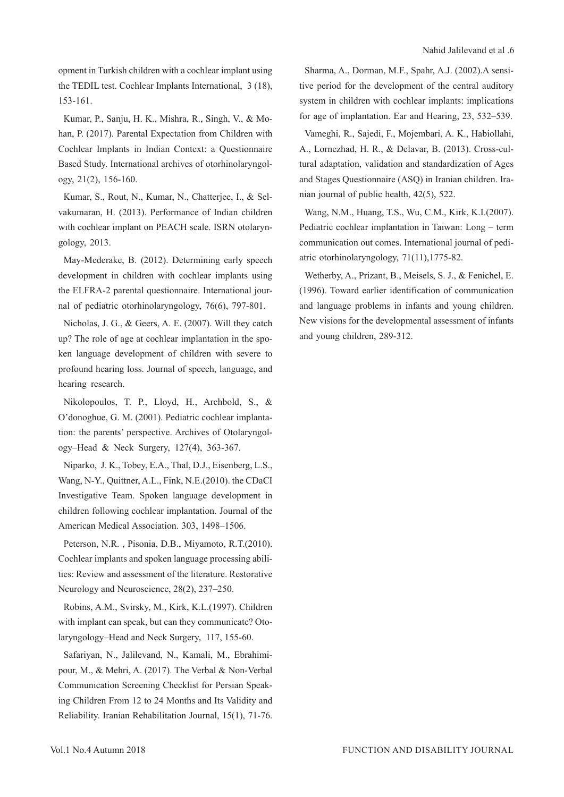opment in Turkish children with a cochlear implant using the TEDIL test. Cochlear Implants International, 3 (18), 153-161.

Kumar, P., Sanju, H. K., Mishra, R., Singh, V., & Mohan, P. (2017). Parental Expectation from Children with Cochlear Implants in Indian Context: a Questionnaire Based Study. International archives of otorhinolaryngology, 21(2), 156-160.

Kumar, S., Rout, N., Kumar, N., Chatterjee, I., & Selvakumaran, H. (2013). Performance of Indian children with cochlear implant on PEACH scale. ISRN otolaryngology, 2013.

May-Mederake, B. (2012). Determining early speech development in children with cochlear implants using the ELFRA-2 parental questionnaire. International journal of pediatric otorhinolaryngology, 76(6), 797-801.

Nicholas, J. G., & Geers, A. E. (2007). Will they catch up? The role of age at cochlear implantation in the spoken language development of children with severe to profound hearing loss. Journal of speech, language, and hearing research.

Nikolopoulos, T. P., Lloyd, H., Archbold, S., & O'donoghue, G. M. (2001). Pediatric cochlear implantation: the parents' perspective. Archives of Otolaryngology–Head & Neck Surgery, 127(4), 363-367.

Niparko, J. K., Tobey, E.A., Thal, D.J., Eisenberg, L.S., Wang, N-Y., Quittner, A.L., Fink, N.E.(2010). the CDaCI Investigative Team. Spoken language development in children following cochlear implantation. Journal of the American Medical Association. 303, 1498–1506.

Peterson, N.R. , Pisonia, D.B., Miyamoto, R.T.(2010). Cochlear implants and spoken language processing abilities: Review and assessment of the literature. Restorative Neurology and Neuroscience, 28(2), 237–250.

Robins, A.M., Svirsky, M., Kirk, K.L.(1997). Children with implant can speak, but can they communicate? Otolaryngology–Head and Neck Surgery, 117, 155-60.

Safariyan, N., Jalilevand, N., Kamali, M., Ebrahimipour, M., & Mehri, A. (2017). The Verbal & Non-Verbal Communication Screening Checklist for Persian Speaking Children From 12 to 24 Months and Its Validity and Reliability. Iranian Rehabilitation Journal, 15(1), 71-76.

Sharma, A., Dorman, M.F., Spahr, A.J. (2002).A sensitive period for the development of the central auditory system in children with cochlear implants: implications for age of implantation. Ear and Hearing, 23, 532–539.

Vameghi, R., Sajedi, F., Mojembari, A. K., Habiollahi, A., Lornezhad, H. R., & Delavar, B. (2013). Cross-cultural adaptation, validation and standardization of Ages and Stages Questionnaire (ASQ) in Iranian children. Iranian journal of public health, 42(5), 522.

Wang, N.M., Huang, T.S., Wu, C.M., Kirk, K.I.(2007). Pediatric cochlear implantation in Taiwan: Long – term communication out comes. International journal of pediatric otorhinolaryngology, 71(11),1775-82.

Wetherby, A., Prizant, B., Meisels, S. J., & Fenichel, E. (1996). Toward earlier identification of communication and language problems in infants and young children. New visions for the developmental assessment of infants and young children, 289-312.